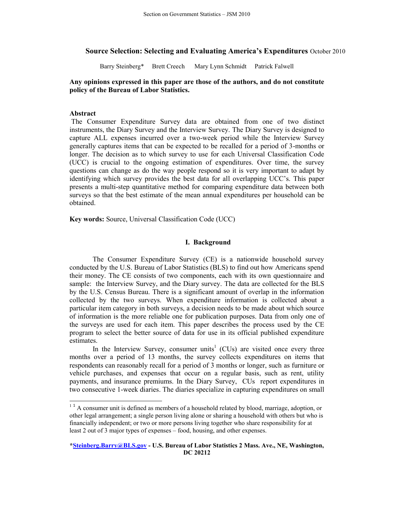# **Source Selection: Selecting and Evaluating America's Expenditures** October 2010

Barry Steinberg\* Brett Creech Mary Lynn Schmidt Patrick Falwell

## **Any opinions expressed in this paper are those of the authors, and do not constitute policy of the Bureau of Labor Statistics.**

## **Abstract**

The Consumer Expenditure Survey data are obtained from one of two distinct instruments, the Diary Survey and the Interview Survey. The Diary Survey is designed to capture ALL expenses incurred over a two-week period while the Interview Survey generally captures items that can be expected to be recalled for a period of 3-months or longer. The decision as to which survey to use for each Universal Classification Code (UCC) is crucial to the ongoing estimation of expenditures. Over time, the survey questions can change as do the way people respond so it is very important to adapt by identifying which survey provides the best data for all overlapping UCC's. This paper presents a multi-step quantitative method for comparing expenditure data between both surveys so that the best estimate of the mean annual expenditures per household can be obtained.

**Key words:** Source, Universal Classification Code (UCC)

# **I. Background**

The Consumer Expenditure Survey (CE) is a nationwide household survey conducted by the U.S. Bureau of Labor Statistics (BLS) to find out how Americans spend their money. The CE consists of two components, each with its own questionnaire and sample: the Interview Survey, and the Diary survey. The data are collected for the BLS by the U.S. Census Bureau. There is a significant amount of overlap in the information collected by the two surveys. When expenditure information is collected about a particular item category in both surveys, a decision needs to be made about which source of information is the more reliable one for publication purposes. Data from only one of the surveys are used for each item. This paper describes the process used by the CE program to select the better source of data for use in its official published expenditure estimates.

In the Interview Survey, consumer units<sup>1</sup> (CUs) are visited once every three months over a period of 13 months, the survey collects expenditures on items that respondents can reasonably recall for a period of 3 months or longer, such as furniture or vehicle purchases, and expenses that occur on a regular basis, such as rent, utility payments, and insurance premiums. In the Diary Survey, CUs report expenditures in two consecutive 1-week diaries. The diaries specialize in capturing expenditures on small

<sup>&</sup>lt;sup>1</sup><sup>1</sup> A consumer unit is defined as members of a household related by blood, marriage, adoption, or other legal arrangement; a single person living alone or sharing a household with others but who is financially independent; or two or more persons living together who share responsibility for at least 2 out of 3 major types of expenses – food, housing, and other expenses.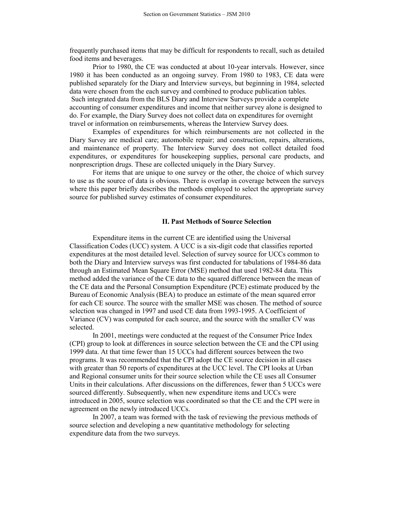frequently purchased items that may be difficult for respondents to recall, such as detailed food items and beverages.

 Prior to 1980, the CE was conducted at about 10-year intervals. However, since 1980 it has been conducted as an ongoing survey. From 1980 to 1983, CE data were published separately for the Diary and Interview surveys, but beginning in 1984, selected data were chosen from the each survey and combined to produce publication tables. Such integrated data from the BLS Diary and Interview Surveys provide a complete accounting of consumer expenditures and income that neither survey alone is designed to do. For example, the Diary Survey does not collect data on expenditures for overnight travel or information on reimbursements, whereas the Interview Survey does.

Examples of expenditures for which reimbursements are not collected in the Diary Survey are medical care; automobile repair; and construction, repairs, alterations, and maintenance of property. The Interview Survey does not collect detailed food expenditures, or expenditures for housekeeping supplies, personal care products, and nonprescription drugs. These are collected uniquely in the Diary Survey.

For items that are unique to one survey or the other, the choice of which survey to use as the source of data is obvious. There is overlap in coverage between the surveys where this paper briefly describes the methods employed to select the appropriate survey source for published survey estimates of consumer expenditures.

#### **II. Past Methods of Source Selection**

Expenditure items in the current CE are identified using the Universal Classification Codes (UCC) system. A UCC is a six-digit code that classifies reported expenditures at the most detailed level. Selection of survey source for UCCs common to both the Diary and Interview surveys was first conducted for tabulations of 1984-86 data through an Estimated Mean Square Error (MSE) method that used 1982-84 data. This method added the variance of the CE data to the squared difference between the mean of the CE data and the Personal Consumption Expenditure (PCE) estimate produced by the Bureau of Economic Analysis (BEA) to produce an estimate of the mean squared error for each CE source. The source with the smaller MSE was chosen. The method of source selection was changed in 1997 and used CE data from 1993-1995. A Coefficient of Variance (CV) was computed for each source, and the source with the smaller CV was selected.

In 2001, meetings were conducted at the request of the Consumer Price Index (CPI) group to look at differences in source selection between the CE and the CPI using 1999 data. At that time fewer than 15 UCCs had different sources between the two programs. It was recommended that the CPI adopt the CE source decision in all cases with greater than 50 reports of expenditures at the UCC level. The CPI looks at Urban and Regional consumer units for their source selection while the CE uses all Consumer Units in their calculations. After discussions on the differences, fewer than 5 UCCs were sourced differently. Subsequently, when new expenditure items and UCCs were introduced in 2005, source selection was coordinated so that the CE and the CPI were in agreement on the newly introduced UCCs.

In 2007, a team was formed with the task of reviewing the previous methods of source selection and developing a new quantitative methodology for selecting expenditure data from the two surveys.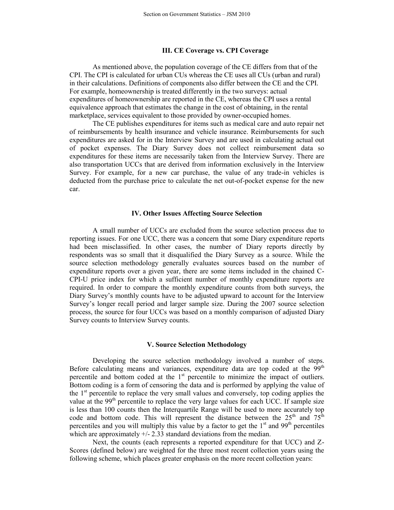### **III. CE Coverage vs. CPI Coverage**

 As mentioned above, the population coverage of the CE differs from that of the CPI. The CPI is calculated for urban CUs whereas the CE uses all CUs (urban and rural) in their calculations. Definitions of components also differ between the CE and the CPI. For example, homeownership is treated differently in the two surveys: actual expenditures of homeownership are reported in the CE, whereas the CPI uses a rental equivalence approach that estimates the change in the cost of obtaining, in the rental marketplace, services equivalent to those provided by owner-occupied homes.

 The CE publishes expenditures for items such as medical care and auto repair net of reimbursements by health insurance and vehicle insurance. Reimbursements for such expenditures are asked for in the Interview Survey and are used in calculating actual out of pocket expenses. The Diary Survey does not collect reimbursement data so expenditures for these items are necessarily taken from the Interview Survey. There are also transportation UCCs that are derived from information exclusively in the Interview Survey. For example, for a new car purchase, the value of any trade-in vehicles is deducted from the purchase price to calculate the net out-of-pocket expense for the new car.

#### **IV. Other Issues Affecting Source Selection**

A small number of UCCs are excluded from the source selection process due to reporting issues. For one UCC, there was a concern that some Diary expenditure reports had been misclassified. In other cases, the number of Diary reports directly by respondents was so small that it disqualified the Diary Survey as a source. While the source selection methodology generally evaluates sources based on the number of expenditure reports over a given year, there are some items included in the chained C-CPI-U price index for which a sufficient number of monthly expenditure reports are required. In order to compare the monthly expenditure counts from both surveys, the Diary Survey's monthly counts have to be adjusted upward to account for the Interview Survey's longer recall period and larger sample size. During the 2007 source selection process, the source for four UCCs was based on a monthly comparison of adjusted Diary Survey counts to Interview Survey counts.

#### **V. Source Selection Methodology**

Developing the source selection methodology involved a number of steps. Before calculating means and variances, expenditure data are top coded at the  $99<sup>th</sup>$ percentile and bottom coded at the 1<sup>st</sup> percentile to minimize the impact of outliers. Bottom coding is a form of censoring the data and is performed by applying the value of the  $1<sup>st</sup>$  percentile to replace the very small values and conversely, top coding applies the value at the  $99<sup>th</sup>$  percentile to replace the very large values for each UCC. If sample size is less than 100 counts then the Interquartile Range will be used to more accurately top code and bottom code. This will represent the distance between the  $25<sup>th</sup>$  and  $75<sup>th</sup>$ percentiles and you will multiply this value by a factor to get the  $1<sup>st</sup>$  and  $99<sup>th</sup>$  percentiles which are approximately  $+/- 2.33$  standard deviations from the median.

Next, the counts (each represents a reported expenditure for that UCC) and Z-Scores (defined below) are weighted for the three most recent collection years using the following scheme, which places greater emphasis on the more recent collection years: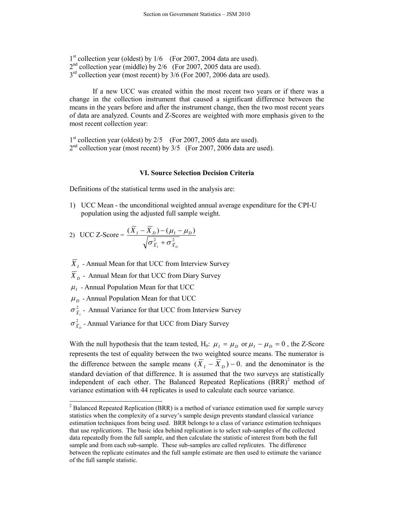1<sup>st</sup> collection year (oldest) by 1/6 (For 2007, 2004 data are used).  $2<sup>nd</sup>$  collection year (middle) by  $2/6$  (For 2007, 2005 data are used).  $3<sup>rd</sup>$  collection year (most recent) by 3/6 (For 2007, 2006 data are used).

If a new UCC was created within the most recent two years or if there was a change in the collection instrument that caused a significant difference between the means in the years before and after the instrument change, then the two most recent years of data are analyzed. Counts and Z-Scores are weighted with more emphasis given to the most recent collection year:

1<sup>st</sup> collection year (oldest) by 2/5 (For 2007, 2005 data are used).  $2<sup>nd</sup>$  collection year (most recent) by  $3/5$  (For 2007, 2006 data are used).

### **VI. Source Selection Decision Criteria**

Definitions of the statistical terms used in the analysis are:

1) UCC Mean - the unconditional weighted annual average expenditure for the CPI-U population using the adjusted full sample weight.

2) UCC Z-Score = 
$$
\frac{(\overline{X}_I - \overline{X}_D) - (\mu_I - \mu_D)}{\sqrt{\sigma_{\overline{X}_I}^2 + \sigma_{\overline{X}_D}^2}}
$$

*X I* - Annual Mean for that UCC from Interview Survey

*X*<sub>D</sub> - Annual Mean for that UCC from Diary Survey

- $\mu$ <sub>I</sub> Annual Population Mean for that UCC
- $\mu$ <sub>D</sub> Annual Population Mean for that UCC
- 2  $\sigma_{\bar{X}_I}^2$  - Annual Variance for that UCC from Interview Survey
- 2  $\sigma_{\bar{x}_p}^2$  - Annual Variance for that UCC from Diary Survey

With the null hypothesis that the team tested, H<sub>0</sub>:  $\mu_I = \mu_D$  or  $\mu_I - \mu_D = 0$ , the Z-Score represents the test of equality between the two weighted source means. The numerator is the difference between the sample means  $(X_I - X_D) - 0$  and the denominator is the standard deviation of that difference. It is assumed that the two surveys are statistically independent of each other. The Balanced Repeated Replications  $(BRR)^2$  method of variance estimation with 44 replicates is used to calculate each source variance.

<sup>&</sup>lt;sup>2</sup> Balanced Repeated Replication (BRR) is a method of variance estimation used for sample survey statistics when the complexity of a survey's sample design prevents standard classical variance estimation techniques from being used. BRR belongs to a class of variance estimation techniques that use *replications*. The basic idea behind replication is to select sub-samples of the collected data repeatedly from the full sample, and then calculate the statistic of interest from both the full sample and from each sub-sample. These sub-samples are called *replicates*. The difference between the replicate estimates and the full sample estimate are then used to estimate the variance of the full sample statistic.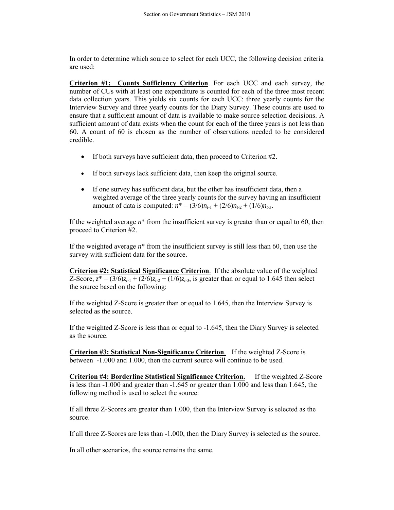In order to determine which source to select for each UCC, the following decision criteria are used:

**Criterion #1: Counts Sufficiency Criterion**. For each UCC and each survey, the number of CUs with at least one expenditure is counted for each of the three most recent data collection years. This yields six counts for each UCC: three yearly counts for the Interview Survey and three yearly counts for the Diary Survey. These counts are used to ensure that a sufficient amount of data is available to make source selection decisions. A sufficient amount of data exists when the count for each of the three years is not less than 60. A count of 60 is chosen as the number of observations needed to be considered credible.

- If both surveys have sufficient data, then proceed to Criterion #2.
- If both surveys lack sufficient data, then keep the original source.
- If one survey has sufficient data, but the other has insufficient data, then a weighted average of the three yearly counts for the survey having an insufficient amount of data is computed:  $n^* = (3/6)n_{t-1} + (2/6)n_{t-2} + (1/6)n_{t-3}$ .

If the weighted average  $n^*$  from the insufficient survey is greater than or equal to 60, then proceed to Criterion #2.

If the weighted average *n*\* from the insufficient survey is still less than 60, then use the survey with sufficient data for the source.

**Criterion #2: Statistical Significance Criterion**. If the absolute value of the weighted Z-Score,  $z^* = (3/6)z_{t-1} + (2/6)z_{t-2} + (1/6)z_{t-3}$ , is greater than or equal to 1.645 then select the source based on the following:

If the weighted Z-Score is greater than or equal to 1.645, then the Interview Survey is selected as the source.

If the weighted Z-Score is less than or equal to -1.645, then the Diary Survey is selected as the source.

**Criterion #3: Statistical Non-Significance Criterion**. If the weighted Z-Score is between -1.000 and 1.000, then the current source will continue to be used.

**Criterion #4: Borderline Statistical Significance Criterion.** If the weighted Z-Score is less than -1.000 and greater than -1.645 or greater than 1.000 and less than 1.645, the following method is used to select the source:

If all three Z-Scores are greater than 1.000, then the Interview Survey is selected as the source.

If all three Z-Scores are less than -1.000, then the Diary Survey is selected as the source.

In all other scenarios, the source remains the same.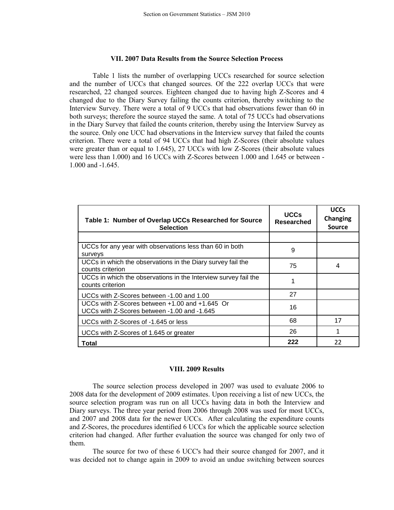## **VII. 2007 Data Results from the Source Selection Process**

Table 1 lists the number of overlapping UCCs researched for source selection and the number of UCCs that changed sources. Of the 222 overlap UCCs that were researched, 22 changed sources. Eighteen changed due to having high Z-Scores and 4 changed due to the Diary Survey failing the counts criterion, thereby switching to the Interview Survey. There were a total of 9 UCCs that had observations fewer than 60 in both surveys; therefore the source stayed the same. A total of 75 UCCs had observations in the Diary Survey that failed the counts criterion, thereby using the Interview Survey as the source. Only one UCC had observations in the Interview survey that failed the counts criterion. There were a total of 94 UCCs that had high Z-Scores (their absolute values were greater than or equal to 1.645), 27 UCCs with low Z-Scores (their absolute values were less than 1.000) and 16 UCCs with Z-Scores between 1.000 and 1.645 or between - 1.000 and -1.645

| Table 1: Number of Overlap UCCs Researched for Source<br><b>Selection</b>                            | <b>UCCs</b><br><b>Researched</b> | <b>UCCs</b><br>Changing<br><b>Source</b> |
|------------------------------------------------------------------------------------------------------|----------------------------------|------------------------------------------|
|                                                                                                      |                                  |                                          |
| UCCs for any year with observations less than 60 in both<br>surveys                                  | 9                                |                                          |
| UCCs in which the observations in the Diary survey fail the<br>counts criterion                      | 75                               | 4                                        |
| UCCs in which the observations in the Interview survey fail the<br>counts criterion                  |                                  |                                          |
| UCCs with Z-Scores between -1.00 and 1.00                                                            | 27                               |                                          |
| UCCs with $Z$ -Scores between $+1.00$ and $+1.645$ Or<br>UCCs with Z-Scores between -1.00 and -1.645 | 16                               |                                          |
| UCCs with Z-Scores of -1.645 or less                                                                 | 68                               | 17                                       |
| UCCs with Z-Scores of 1.645 or greater                                                               | 26                               | 1                                        |
| Total                                                                                                | 222                              | 22                                       |

#### **VIII. 2009 Results**

The source selection process developed in 2007 was used to evaluate 2006 to 2008 data for the development of 2009 estimates. Upon receiving a list of new UCCs, the source selection program was run on all UCCs having data in both the Interview and Diary surveys. The three year period from 2006 through 2008 was used for most UCCs, and 2007 and 2008 data for the newer UCCs. After calculating the expenditure counts and Z-Scores, the procedures identified 6 UCCs for which the applicable source selection criterion had changed. After further evaluation the source was changed for only two of them.

The source for two of these 6 UCC's had their source changed for 2007, and it was decided not to change again in 2009 to avoid an undue switching between sources